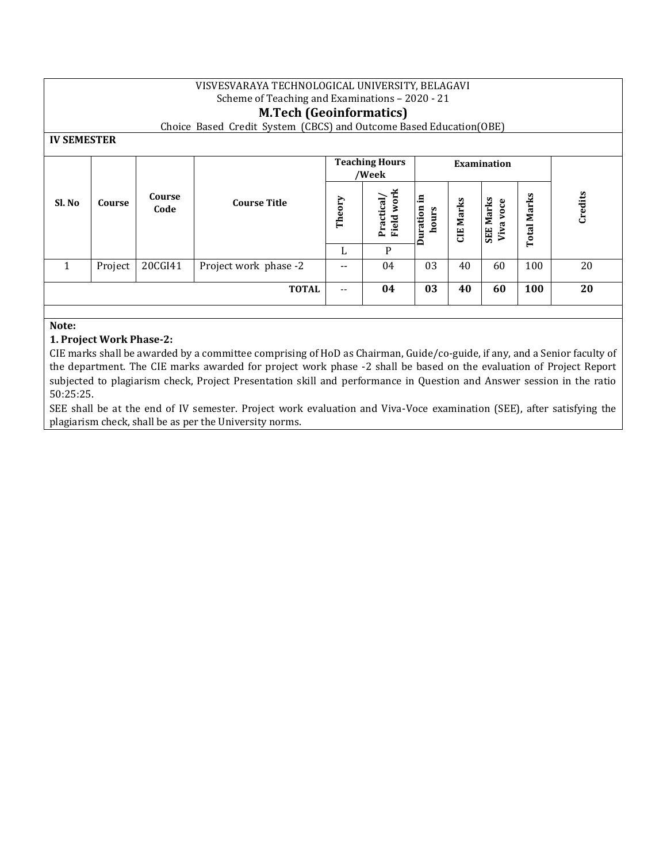| VISVESVARAYA TECHNOLOGICAL UNIVERSITY, BELAGAVI<br>Scheme of Teaching and Examinations - 2020 - 21<br><b>M.Tech (Geoinformatics)</b><br>Choice Based Credit System (CBCS) and Outcome Based Education(OBE)<br><b>IV SEMESTER</b> |         |                |                       |                                |                          |                        |                  |                               |                    |         |
|----------------------------------------------------------------------------------------------------------------------------------------------------------------------------------------------------------------------------------|---------|----------------|-----------------------|--------------------------------|--------------------------|------------------------|------------------|-------------------------------|--------------------|---------|
|                                                                                                                                                                                                                                  |         |                |                       | <b>Teaching Hours</b><br>/Week |                          | <b>Examination</b>     |                  |                               |                    |         |
| Sl. No                                                                                                                                                                                                                           | Course  | Course<br>Code | <b>Course Title</b>   | Theory                         | Field work<br>Practical/ | Е<br>Duration<br>hours | <b>CIE Marks</b> | <b>SEE Marks</b><br>Viva voce | <b>Total Marks</b> | Credits |
|                                                                                                                                                                                                                                  |         |                |                       | L                              | P                        |                        |                  |                               |                    |         |
| 1                                                                                                                                                                                                                                | Project | 20CGI41        | Project work phase -2 | --                             | 04                       | 03                     | 40               | 60                            | 100                | 20      |
| <b>TOTAL</b><br>04<br>03<br>100<br>40<br>60<br>--                                                                                                                                                                                |         |                |                       |                                |                          | 20                     |                  |                               |                    |         |
|                                                                                                                                                                                                                                  |         |                |                       |                                |                          |                        |                  |                               |                    |         |

# **Note:**

# **1. Project Work Phase-2:**

CIE marks shall be awarded by a committee comprising of HoD as Chairman, Guide/co-guide, if any, and a Senior faculty of the department. The CIE marks awarded for project work phase -2 shall be based on the evaluation of Project Report subjected to plagiarism check, Project Presentation skill and performance in Question and Answer session in the ratio 50:25:25.

SEE shall be at the end of IV semester. Project work evaluation and Viva-Voce examination (SEE), after satisfying the plagiarism check, shall be as per the University norms.